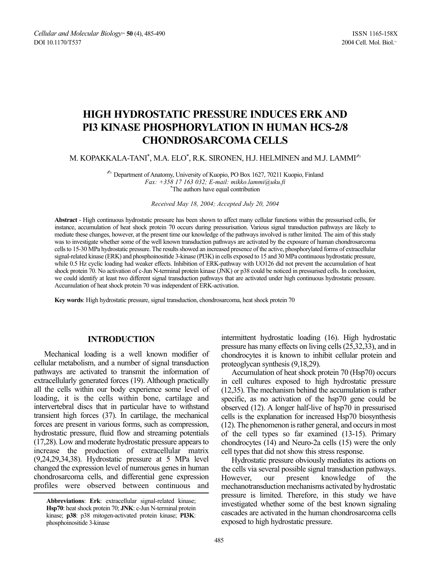# **HIGH HYDROSTATIC PRESSURE INDUCES ERK AND PI3 KINASE PHOSPHORYLATION IN HUMAN HCS-2/8 CHONDROSARCOMA CELLS**

M. KOPAKKALA-TANI $^*$ , M.A. ELO $^*$ , R.K. SIRONEN, H.J. HELMINEN and M.J. LAMMI $^{\mathbb{Z}_2}$ 

 $\approx$  Department of Anatomy, University of Kuopio, PO Box 1627, 70211 Kuopio, Finland *Fax: +358 17 163 032; E-mail: mikko.lammi@uku.fi* \* The authors have equal contribution

*Received May 18, 2004; Accepted July 20, 2004*

**Abstract** - High continuous hydrostatic pressure has been shown to affect many cellular functions within the pressurised cells, for instance, accumulation of heat shock protein 70 occurs during pressurisation. Various signal transduction pathways are likely to mediate these changes, however, at the present time our knowledge of the pathways involved is rather limited. The aim of this study was to investigate whether some of the well known transduction pathways are activated by the exposure of human chondrosarcoma cells to 15-30 MPa hydrostatic pressure. The results showed an increased presence of the active, phosphorylated forms of extracellular signal-related kinase (ERK) and phosphoinositide 3-kinase (PI3K) in cells exposed to 15 and 30 MPa continuous hydrostatic pressure, while 0.5 Hz cyclic loading had weaker effects. Inhibition of ERK-pathway with UO126 did not prevent the accumulation of heat shock protein 70. No activation of c-Jun N-terminal protein kinase (JNK) or p38 could be noticed in pressurised cells. In conclusion, we could identify at least two different signal transduction pathways that are activated under high continuous hydrostatic pressure. Accumulation of heat shock protein 70 was independent of ERK-activation.

**Key words**: High hydrostatic pressure, signal transduction, chondrosarcoma, heat shock protein 70

# **INTRODUCTION**

Mechanical loading is a well known modifier of cellular metabolism, and a number of signal transduction pathways are activated to transmit the information of extracellularly generated forces (19). Although practically all the cells within our body experience some level of loading, it is the cells within bone, cartilage and intervertebral discs that in particular have to withstand transient high forces (37). In cartilage, the mechanical forces are present in various forms, such as compression, hydrostatic pressure, fluid flow and streaming potentials (17,28). Low and moderate hydrostatic pressure appears to increase the production of extracellular matrix (9,24,29,34,38). Hydrostatic pressure at 5 MPa level changed the expression level of numerous genes in human chondrosarcoma cells, and differential gene expression profiles were observed between continuous and

intermittent hydrostatic loading (16). High hydrostatic pressure has many effects on living cells (25,32,33), and in chondrocytes it is known to inhibit cellular protein and proteoglycan synthesis (9,18,29).

Accumulation of heat shock protein 70 (Hsp70) occurs in cell cultures exposed to high hydrostatic pressure (12,35). The mechanism behind the accumulation is rather specific, as no activation of the hsp70 gene could be observed (12). A longer half-live of hsp70 in pressurised cells is the explanation for increased Hsp70 biosynthesis (12). The phenomenon is rather general, and occurs in most of the cell types so far examined (13-15). Primary chondrocytes (14) and Neuro-2a cells (15) were the only cell types that did not show this stress response.

Hydrostatic pressure obviously mediates its actions on the cells via several possible signal transduction pathways. However, our present knowledge of the mechanotransduction mechanisms activated by hydrostatic pressure is limited. Therefore, in this study we have investigated whether some of the best known signaling cascades are activated in the human chondrosarcoma cells exposed to high hydrostatic pressure.

**Abbreviations**: **Erk**: extracellular signal-related kinase; **Hsp70**: heat shock protein 70; **JNK**: c-Jun N-terminal protein kinase; **p38**: p38 mitogen-activated protein kinase; **PI3K**: phosphoinositide 3-kinase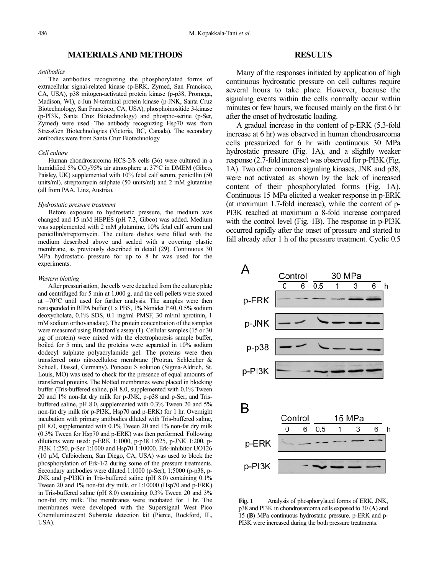# **MATERIALS AND METHODS**

## *Antibodies*

The antibodies recognizing the phosphorylated forms of extracellular signal-related kinase (p-ERK, Zymed, San Francisco, CA, USA), p38 mitogen-activated protein kinase (p-p38, Promega, Madison, WI), c-Jun N-terminal protein kinase (p-JNK, Santa Cruz Biotechnology, San Francisco, CA, USA), phosphoinositide 3-kinase (p-PI3K, Santa Cruz Biotechnology) and phospho-serine (p-Ser, Zymed) were used. The antibody recognizing Hsp70 was from StressGen Biotechnologies (Victoria, BC, Canada). The secondary antibodies were from Santa Cruz Biotechnology.

#### *Cell culture*

Human chondrosarcoma HCS-2/8 cells (36) were cultured in a humidified 5%  $CO<sub>2</sub>/95%$  air atmosphere at 37°C in DMEM (Gibco, Paisley, UK) supplemented with 10% fetal calf serum, penicillin (50 units/ml), streptomycin sulphate (50 units/ml) and 2 mM glutamine (all from PAA, Linz, Austria).

#### *Hydrostatic pressure treatment*

Before exposure to hydrostatic pressure, the medium was changed and 15 mM HEPES (pH 7.3, Gibco) was added. Medium was supplemented with 2 mM glutamine, 10% fetal calf serum and penicillin/streptomycin. The culture dishes were filled with the medium described above and sealed with a covering plastic membrane, as previously described in detail (29). Continuous 30 MPa hydrostatic pressure for up to 8 hr was used for the experiments.

#### *Western blotting*

After pressurisation, the cells were detached from the culture plate and centrifuged for 5 min at 1,000 g, and the cell pellets were stored at  $-70^{\circ}$ C until used for further analysis. The samples were then resuspended in RIPA buffer (1 x PBS, 1% Nonidet P 40, 0.5% sodium deoxycholate, 0.1% SDS, 0.1 mg/ml PMSF, 30 ml/ml aprotinin, 1 mM sodium orthovanadate). The protein concentration of the samples were measured using Bradford's assay (1). Cellular samples (15 or 30 µg of protein) were mixed with the electrophoresis sample buffer, boiled for 5 min, and the proteins were separated in 10% sodium dodecyl sulphate polyacrylamide gel. The proteins were then transferred onto nitrocellulose membrane (Protran, Schleicher & Schuell, Dassel, Germany). Ponceau S solution (Sigma-Aldrich, St. Louis, MO) was used to check for the presence of equal amounts of transferred proteins. The blotted membranes were placed in blocking buffer (Tris-buffered saline, pH 8.0, supplemented with 0.1% Tween 20 and 1% non-fat dry milk for p-JNK, p-p38 and p-Ser; and Trisbuffered saline, pH 8.0, supplemented with 0.3% Tween 20 and 5% non-fat dry milk for p-PI3K, Hsp70 and p-ERK) for 1 hr. Overnight incubation with primary antibodies diluted with Tris-buffered saline, pH 8.0, supplemented with 0.1% Tween 20 and 1% non-fat dry milk (0.3% Tween for Hsp70 and p-ERK) was then performed. Following dilutions were used: p-ERK 1:1000, p-p38 1:625, p-JNK 1:200, p-PI3K 1:250, p-Ser 1:1000 and Hsp70 1:10000. Erk-inhibitor UO126 (10 µM, Calbiochem, San Diego, CA, USA) was used to block the phosphorylation of Erk-1/2 during some of the pressure treatments. Secondary antibodies were diluted 1:1000 (p-Ser), 1:5000 (p-p38, p-JNK and p-PI3K) in Tris-buffered saline (pH 8.0) containing 0.1% Tween 20 and 1% non-fat dry milk, or 1:10000 (Hsp70 and p-ERK) in Tris-buffered saline (pH 8.0) containing 0.3% Tween 20 and 3% non-fat dry milk. The membranes were incubated for 1 hr. The membranes were developed with the Supersignal West Pico Chemiluminescent Substrate detection kit (Pierce, Rockford, IL, USA).

## **RESULTS**

Many of the responses initiated by application of high continuous hydrostatic pressure on cell cultures require several hours to take place. However, because the signaling events within the cells normally occur within minutes or few hours, we focused mainly on the first 6 hr after the onset of hydrostatic loading.

A gradual increase in the content of p-ERK (5.3-fold increase at 6 hr) was observed in human chondrosarcoma cells pressurized for 6 hr with continuous 30 MPa hydrostatic pressure (Fig. 1A), and a slightly weaker response (2.7-fold increase) was observed for p-PI3K (Fig. 1A). Two other common signaling kinases, JNK and p38, were not activated as shown by the lack of increased content of their phosphorylated forms (Fig. 1A). Continuous 15 MPa elicited a weaker response in p-ERK (at maximum 1.7-fold increase), while the content of p-PI3K reached at maximum a 8-fold increase compared with the control level (Fig. 1B). The response in p-PI3K occurred rapidly after the onset of pressure and started to fall already after 1 h of the pressure treatment. Cyclic 0.5



**Fig. 1** Analysis of phosphorylated forms of ERK, JNK, p38 and PI3K in chondrosarcoma cells exposed to 30 (**A**) and 15 (**B**) MPa continuous hydrostatic pressure. p-ERK and p-PI3K were increased during the both pressure treatments.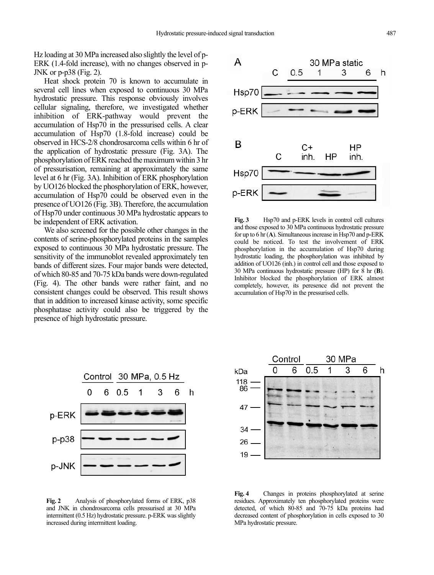Hz loading at 30 MPa increased also slightly the level of p-ERK (1.4-fold increase), with no changes observed in p-JNK or p-p38 (Fig. 2).

Heat shock protein 70 is known to accumulate in several cell lines when exposed to continuous 30 MPa hydrostatic pressure. This response obviously involves cellular signaling, therefore, we investigated whether inhibition of ERK-pathway would prevent the accumulation of Hsp70 in the pressurised cells. A clear accumulation of Hsp70 (1.8-fold increase) could be observed in HCS-2/8 chondrosarcoma cells within 6 hr of the application of hydrostatic pressure (Fig. 3A). The phosphorylation of ERK reached the maximum within 3 hr of pressurisation, remaining at approximately the same level at 6 hr (Fig. 3A). Inhibition of ERK phosphorylation by UO126 blocked the phosphorylation of ERK, however, accumulation of Hsp70 could be observed even in the presence of UO126 (Fig. 3B). Therefore, the accumulation of Hsp70 under continuous 30 MPa hydrostatic appears to be independent of ERK activation.

We also screened for the possible other changes in the contents of serine-phosphorylated proteins in the samples exposed to continuous 30 MPa hydrostatic pressure. The sensitivity of the immunoblot revealed approximately ten bands of different sizes. Four major bands were detected, of which 80-85 and 70-75 kDa bands were down-regulated (Fig. 4). The other bands were rather faint, and no consistent changes could be observed. This result shows that in addition to increased kinase activity, some specific phosphatase activity could also be triggered by the presence of high hydrostatic pressure.



**Fig. 3** Hsp70 and p-ERK levels in control cell cultures and those exposed to 30 MPa continuous hydrostatic pressure for up to 6 hr (**A**). Simultaneous increase in Hsp70 and p-ERK could be noticed. To test the involvement of ERK phosphorylation in the accumulation of Hsp70 during hydrostatic loading, the phosphorylation was inhibited by addition of UO126 (inh.) in control cell and those exposed to 30 MPa continuous hydrostatic pressure (HP) for 8 hr (**B**). Inhibitor blocked the phosphorylation of ERK almost completely, however, its peresence did not prevent the accumulation of Hsp70 in the pressurised cells.



**Fig. 2** Analysis of phosphorylated forms of ERK, p38 and JNK in chondrosarcoma cells pressurised at 30 MPa intermittent (0.5 Hz) hydrostatic pressure. p-ERK was slightly increased during intermittent loading.



**Fig. 4** Changes in proteins phosphorylated at serine residues. Approximately ten phosphorylated proteins were detected, of which 80-85 and 70-75 kDa proteins had decreased content of phosphorylation in cells exposed to 30 MPa hydrostatic pressure.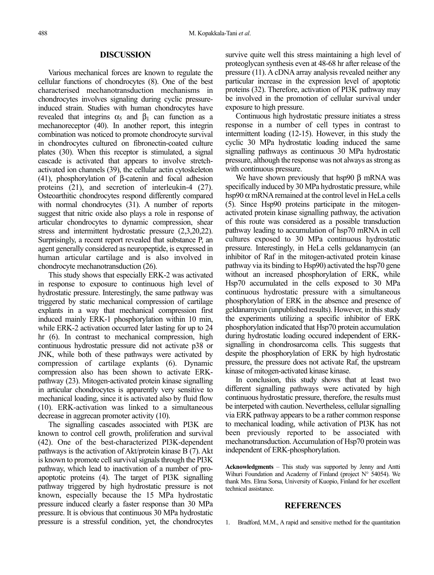## **DISCUSSION**

Various mechanical forces are known to regulate the cellular functions of chondrocytes (8). One of the best characterised mechanotransduction mechanisms in chondrocytes involves signaling during cyclic pressureinduced strain. Studies with human chondrocytes have revealed that integrins  $\alpha_5$  and  $\beta_1$  can function as a mechanoreceptor (40). In another report, this integrin combination was noticed to promote chondrocyte survival in chondrocytes cultured on fibronectin-coated culture plates (30). When this receptor is stimulated, a signal cascade is activated that appears to involve stretchactivated ion channels (39), the cellular actin cytoskeleton (41), phosphorylation of β-catenin and focal adhesion proteins (21), and secretion of interleukin-4 (27). Osteoarthitic chondrocytes respond differently compared with normal chondrocytes (31). A number of reports suggest that nitric oxide also plays a role in response of articular chondrocytes to dynamic compression, shear stress and intermittent hydrostatic pressure (2,3,20,22). Surprisingly, a recent report revealed that substance P, an agent generally considered as neuropeptide, is expressed in human articular cartilage and is also involved in chondrocyte mechanotransduction (26).

This study shows that especially ERK-2 was activated in response to exposure to continuous high level of hydrostatic pressure. Interestingly, the same pathway was triggered by static mechanical compression of cartilage explants in a way that mechanical compression first induced mainly ERK-1 phosphorylation within 10 min, while ERK-2 activation occurred later lasting for up to 24 hr (6). In contrast to mechanical compression, high continuous hydrostatic pressure did not activate p38 or JNK, while both of these pathways were activated by compression of cartilage explants (6). Dynamic compression also has been shown to activate ERKpathway (23). Mitogen-activated protein kinase signalling in articular chondrocytes is apparently very sensitive to mechanical loading, since it is activated also by fluid flow (10). ERK-activation was linked to a simultaneous decrease in aggrecan promoter activity (10).

The signalling cascades associated with PI3K are known to control cell growth, proliferation and survival (42). One of the best-characterized PI3K-dependent pathways is the activation of Akt/protein kinase B (7). Akt is known to promote cell survival signals through the PI3K pathway, which lead to inactivation of a number of proapoptotic proteins (4). The target of PI3K signalling pathway triggered by high hydrostatic pressure is not known, especially because the 15 MPa hydrostatic pressure induced clearly a faster response than 30 MPa pressure. It is obvious that continuous 30 MPa hydrostatic pressure is a stressful condition, yet, the chondrocytes survive quite well this stress maintaining a high level of proteoglycan synthesis even at 48-68 hr after release of the pressure (11). A cDNA array analysis revealed neither any particular increase in the expression level of apoptotic proteins (32). Therefore, activation of PI3K pathway may be involved in the promotion of cellular survival under exposure to high pressure.

Continuous high hydrostatic pressure initiates a stress response in a number of cell types in contrast to intermittent loading (12-15). However, in this study the cyclic 30 MPa hydrostatic loading induced the same signalling pathways as continuous 30 MPa hydrostatic pressure, although the response was not always as strong as with continuous pressure.

We have shown previously that hsp90  $\beta$  mRNA was specifically induced by 30 MPa hydrostatic pressure, while hsp90  $\alpha$  mRNA remained at the control level in HeLa cells (5). Since Hsp90 proteins participate in the mitogenactivated protein kinase signalling pathway, the activation of this route was considered as a possible transduction pathway leading to accumulation of hsp70 mRNA in cell cultures exposed to 30 MPa continuous hydrostatic pressure. Interestingly, in HeLa cells geldanamycin (an inhibitor of Raf in the mitogen-activated protein kinase pathway via its binding to Hsp90) activated the hsp70 gene without an increased phosphorylation of ERK, while Hsp70 accumulated in the cells exposed to 30 MPa continuous hydrostatic pressure with a simultaneous phosphorylation of ERK in the absence and presence of geldanamycin (unpublished results). However, in this study the experiments utilizing a specific inhibitor of ERK phosphorylation indicated that Hsp70 protein accumulation during hydrostatic loading occured independent of ERKsignalling in chondrosarcoma cells. This suggests that despite the phosphorylation of ERK by high hydrostatic pressure, the pressure does not activate Raf, the upstream kinase of mitogen-activated kinase kinase.

In conclusion, this study shows that at least two different signalling pathways were activated by high continuous hydrostatic pressure, therefore, the results must be interpeted with caution. Nevertheless, cellular signalling via ERK pathway appears to be a rather common response to mechanical loading, while activation of PI3K has not been previously reported to be associated with mechanotransduction. Accumulation of Hsp70 protein was independent of ERK-phosphorylation.

Acknowledgments - This study was supported by Jenny and Antti Wihuri Foundation and Academy of Finland (project N° 54054). We thank Mrs. Elma Sorsa, University of Kuopio, Finland for her excellent technical assistance.

## **REFERENCES**

1. Bradford, M.M., A rapid and sensitive method for the quantitation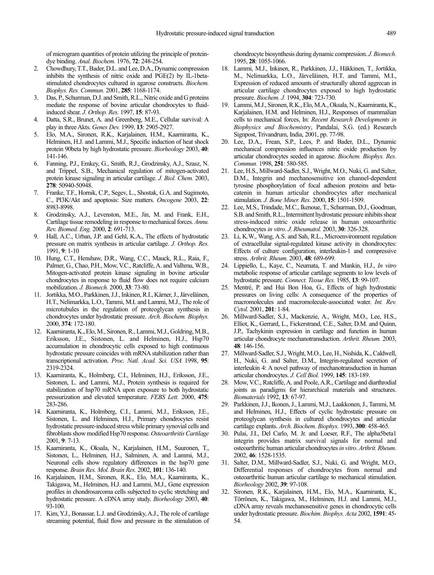of microgram quantities of protein utilizing the principle of proteindye binding. *Anal. Biochem.* 1976, **72**: 248-254.

- 2. Chowdhury, T.T., Bader, D.L. and Lee, D.A., Dynamic compression inhibits the synthesis of nitric oxide and PGE(2) by IL-1betastimulated chondrocytes cultured in agarose constructs. *Biochem. Biophys. Res. Commun.* 2001, **285**: 1168-1174.
- 3. Das, P., Schurman, D.J. and Smith, R.L., Nitric oxide and G proteins mediate the response of bovine articular chondrocytes to fluidinduced shear. *J. Orthop. Res.* 1997, **15**: 87-93.
- 4. Datta, S.R., Brunet, A. and Greenberg, M.E., Cellular survival: A play in three Akts. *Genes Dev.* 1999, **13**: 2905-2927.
- 5. Elo, M.A., Sironen, R.K., Karjalainen, H.M., Kaarniranta, K., Helminen, H.J. and Lammi, M.J., Specific induction of heat shock protein 90beta by high hydrostatic pressure. *Biorheology* 2003, **40**: 141-146.
- 6. Fanning, P.J., Emkey, G., Smith, R.J., Grodzinsky, A.J., Szasz, N. and Trippel, S.B., Mechanical regulation of mitogen-activated protein kinase signaling in articular cartilage. *J. Biol. Chem.* 2003, **278**: 50940-50948.
- 7. Franke, T.F., Hornik, C.P., Segev, L., Shostak, G.A. and Sugimoto, C., PI3K/Akt and apoptosis: Size matters. *Oncogene* 2003, **22**: 8983-8998.
- 8. Grodzinsky, A.J., Levenston, M.E., Jin, M. and Frank, E.H., Cartilage tissue remodeling in response to mechanical forces. *Annu. Rev. Biomed. Eng.* 2000, **2**: 691-713.
- Hall, A.C., Urban, J.P. and Gehl, K.A., The effects of hydrostatic pressure on matrix synthesis in articular cartilage. *J. Orthop. Res.* 1991, **9**: 1-10
- 10. Hung, C.T., Henshaw, D.R., Wang, C.C., Mauck, R.L., Raia, F., Palmer, G., Chao, P.H., Mow, V.C., Ratcliffe, A. and Valhmu, W.B., Mitogen-activated protein kinase signaling in bovine articular chondrocytes in response to fluid flow does not require calcium mobilization. *J. Biomech.* 2000, **33**: 73-80.
- 11. Jortikka, M.O., Parkkinen, J.J., Inkinen, R.I., Kärner, J., Järveläinen, H.T., Nelimarkka, L.O., Tammi, M.I. and Lammi, M.J., The role of microtubules in the regulation of proteoglycan synthesis in chondrocytes under hydrostatic pressure. *Arch. Biochem. Biophys.* 2000, **374**: 172-180.
- 12. Kaarniranta, K., Elo, M., Sironen, R., Lammi, M.J., Goldring, M.B., Eriksson, J.E., Sistonen, L. and Helminen, H.J., Hsp70 accumulation in chondrocytic cells exposed to high continuous hydrostatic pressure coincides with mRNA stabilization rather than transcriptional activation. *Proc. Natl. Acad. Sci. USA* 1998, **95**: 2319-2324.
- 13. Kaarniranta, K., Holmberg, C.I., Helminen, H.J., Eriksson, J.E., Sistonen, L. and Lammi, M.J., Protein synthesis is required for stabilization of hsp70 mRNA upon exposure to both hydrostatic pressurization and elevated temperature. *FEBS Lett.* 2000, **475**: 283-286.
- 14. Kaarniranta, K., Holmberg, C.I., Lammi, M.J., Eriksson, J.E., Sistonen, L. and Helminen, H.J., Primary chondrocytes resist hydrostatic pressure-induced stress while primary synovial cells and fibroblasts show modified Hsp70 response. *Osteoarthritis Cartilage* 2001, **9**: 7-13.
- 15. Kaarniranta, K., Oksala, N., Karjalainen, H.M., Suuronen, T., Sistonen, L., Helminen, H.J., Salminen, A. and Lammi, M.J., Neuronal cells show regulatory differences in the hsp70 gene response. *Brain Res. Mol. Brain Res.* 2002, **101**: 136-140.
- 16. Karjalainen, H.M., Sironen, R.K., Elo, M.A., Kaarniranta, K., Takigawa, M., Helminen, H.J. and Lammi, M.J., Gene expression profiles in chondrosarcoma cells subjected to cyclic stretching and hydrostatic pressure. A cDNA array study. *Biorheology* 2003, **40**: 93-100.
- 17. Kim, Y.J., Bonassar, L.J. and Grodzinsky, A.J., The role of cartilage streaming potential, fluid flow and pressure in the stimulation of

chondrocyte biosynthesis during dynamic compression. *J. Biomech.* 1995, **28**: 1055-1066.

- 18. Lammi, M.J., Inkinen, R., Parkkinen, J.J., Häkkinen, T., Jortikka, M., Nelimarkka, L.O., Järveläinen, H.T. and Tammi, M.I., Expression of reduced amounts of structurally altered aggrecan in articular cartilage chondrocytes exposed to high hydrostatic pressure. *Biochem. J.* 1994, **304**: 723-730.
- 19. Lammi, M.J., Sironen, R.K., Elo, M.A., Oksala, N., Kaarniranta, K., Karjalainen, H.M. and Helminen, H.J., Responses of mammalian cells to mechanical forces, In: *Recent Research Developments in Biophysics and Biochemistry*, Pandalai, S.G. (ed.) Research Signpost, Trivandrum, India, 2001, pp. 77-98.
- 20. Lee, D.A., Frean, S.P., Lees, P. and Bader, D.L., Dynamic mechanical compression influences nitric oxide production by articular chondrocytes seeded in agarose. *Biochem. Biophys. Res. Commun.* 1998, **251**: 580-585.
- 21. Lee, H.S., Millward-Sadler, S.J., Wright, M.O., Nuki, G. and Salter, D.M., Integrin and mechanosensitive ion channel-dependent tyrosine phosphorylation of focal adhesion proteins and betacatenin in human articular chondrocytes after mechanical stimulation. *J. Bone Miner. Res.* 2000, **15**: 1501-1509.
- 22. Lee, M.S., Trindade, M.C., Ikenoue, T., Schurman, D.J., Goodman, S.B. and Smith, R.L., Intermittent hydrostatic pressure inhibits shear stress-induced nitric oxide release in human osteoarthritic chondrocytes *in vitro*. *J. Rheumatol.* 2003, **30**: 326-328.
- 23. Li, K.W., Wang, A.S. and Sah, R.L., Microenvironment regulation of extracellular signal-regulated kinase activity in chondrocytes: Effects of culture configuration, interleukin-1 and compressive stress. *Arthrit. Rheum.* 2003, **48**: 689-699.
- 24. Lippiello, L., Kaye, C., Neumata, T. and Mankin, H.J., *In vitro* metabolic response of articular cartilage segments to low levels of hydrostatic pressure. *Connect. Tissue Res.* 1985, **13**: 99-107.
- 25. Mentré, P. and Hui Bon Hoa, G., Effects of high hydrostatic pressures on living cells: A consequence of the properties of macromolecules and macromolecule-associated water. *Int. Rev. Cytol.* 2001, **201**: 1-84.
- 26. Millward-Sadler, S.J., Mackenzie, A., Wright, M.O., Lee, H.S., Elliot, K., Gerrard, L., Fickerstrand, C.E., Salter, D.M. and Quinn, J.P., Tachykinin expression in cartilage and function in human articular chondrocyte mechanotransduction. *Arthrit. Rheum.* 2003, **48**: 146-156.
- 27. Millward-Sadler, S.J., Wright, M.O., Lee, H., Nishida, K., Caldwell, H., Nuki, G. and Salter, D.M., Integrin-regulated secretion of interleukin 4: A novel pathway of mechanotransduction in human articular chondrocytes. *J. Cell Biol.* 1999, **145**: 183-189.
- 28. Mow, V.C., Ratcliffe, A. and Poole, A.R., Cartilage and diarthrodial joints as paradigms for hierarchical materials and structures. *Biomaterials* 1992, **13**: 67-97.
- 29. Parkkinen, J.J., Ikonen, J., Lammi, M.J., Laakkonen, J., Tammi, M. and Helminen, H.J., Effects of cyclic hydrostatic pressure on proteoglycan synthesis in cultured chondrocytes and articular cartilage explants. *Arch. Biochem. Biophys.* 1993, **300**: 458-465.
- 30. Pulai, J.I., Del Carlo, M. Jr. and Loeser, R.F., The alpha5beta1 integrin provides matrix survival signals for normal and osteoarthritic human articular chondrocytes *in vitro*. *Arthrit. Rheum.* 2002, **46**: 1528-1535.
- 31. Salter, D.M., Millward-Sadler, S.J., Nuki, G. and Wright, M.O., Differential responses of chondrocytes from normal and osteoarthritic human articular cartilage to mechanical stimulation. *Biorheology* 2002, **39**: 97-108.
- 32. Sironen, R.K., Karjalainen, H.M., Elo, M.A., Kaarniranta, K., Törrönen, K., Takigawa, M., Helminen, H.J. and Lammi, M.J., cDNA array reveals mechanosensitive genes in chondrocytic cells under hydrostatic pressure. *Biochim. Biophys. Acta* 2002, **1591**: 45- 54.